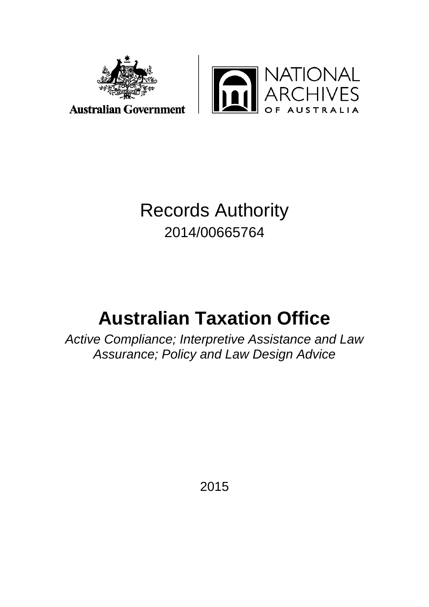



## Records Authority 2014/00665764

# **Australian Taxation Office**

*Active Compliance; Interpretive Assistance and Law Assurance; Policy and Law Design Advice*

2015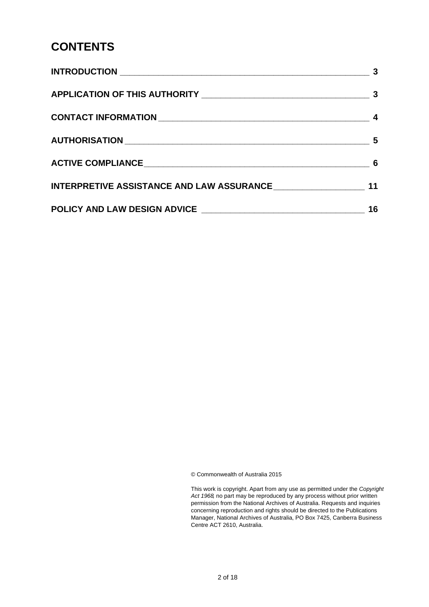### **CONTENTS**

|                                                                | -3 |
|----------------------------------------------------------------|----|
|                                                                |    |
|                                                                |    |
|                                                                |    |
|                                                                |    |
| INTERPRETIVE ASSISTANCE AND LAW ASSURANCE ____________________ | 11 |
|                                                                | 16 |

© Commonwealth of Australia 2015

This work is copyright. Apart from any use as permitted under the *Copyright Act 1968,* no part may be reproduced by any process without prior written permission from the National Archives of Australia. Requests and inquiries concerning reproduction and rights should be directed to the Publications Manager, National Archives of Australia, PO Box 7425, Canberra Business Centre ACT 2610, Australia.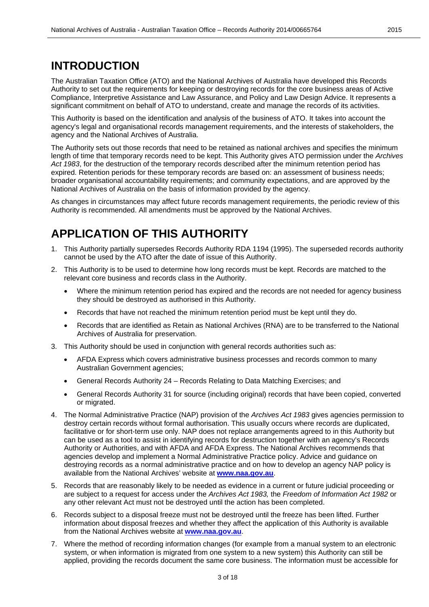#### **INTRODUCTION**

The Australian Taxation Office (ATO) and the National Archives of Australia have developed this Records Authority to set out the requirements for keeping or destroying records for the core business areas of Active Compliance, Interpretive Assistance and Law Assurance, and Policy and Law Design Advice. It represents a significant commitment on behalf of ATO to understand, create and manage the records of its activities.

This Authority is based on the identification and analysis of the business of ATO. It takes into account the agency's legal and organisational records management requirements, and the interests of stakeholders, the agency and the National Archives of Australia.

The Authority sets out those records that need to be retained as national archives and specifies the minimum length of time that temporary records need to be kept. This Authority gives ATO permission under the *Archives Act 1983*, for the destruction of the temporary records described after the minimum retention period has expired. Retention periods for these temporary records are based on: an assessment of business needs; broader organisational accountability requirements; and community expectations, and are approved by the National Archives of Australia on the basis of information provided by the agency.

As changes in circumstances may affect future records management requirements, the periodic review of this Authority is recommended. All amendments must be approved by the National Archives.

#### **APPLICATION OF THIS AUTHORITY**

- 1. This Authority partially supersedes Records Authority RDA 1194 (1995). The superseded records authority cannot be used by the ATO after the date of issue of this Authority.
- 2. This Authority is to be used to determine how long records must be kept. Records are matched to the relevant core business and records class in the Authority.
	- Where the minimum retention period has expired and the records are not needed for agency business they should be destroyed as authorised in this Authority.
	- Records that have not reached the minimum retention period must be kept until they do.
	- Records that are identified as Retain as National Archives (RNA) are to be transferred to the National Archives of Australia for preservation.
- 3. This Authority should be used in conjunction with general records authorities such as:
	- AFDA Express which covers administrative business processes and records common to many Australian Government agencies;
	- General Records Authority 24 Records Relating to Data Matching Exercises; and
	- General Records Authority 31 for source (including original) records that have been copied, converted or migrated.
- 4. The Normal Administrative Practice (NAP) provision of the *Archives Act 1983* gives agencies permission to destroy certain records without formal authorisation. This usually occurs where records are duplicated, facilitative or for short-term use only. NAP does not replace arrangements agreed to in this Authority but can be used as a tool to assist in identifying records for destruction together with an agency's Records Authority or Authorities, and with AFDA and AFDA Express. The National Archives recommends that agencies develop and implement a Normal Administrative Practice policy. Advice and guidance on destroying records as a normal administrative practice and on how to develop an agency NAP policy is available from the National Archives' website at **[www.naa.gov.au](http://www.naa.gov.au/)**.
- 5. Records that are reasonably likely to be needed as evidence in a current or future judicial proceeding or are subject to a request for access under the *Archives Act 1983,* the *Freedom of Information Act 1982* or any other relevant Act must not be destroyed until the action has been completed.
- 6. Records subject to a disposal freeze must not be destroyed until the freeze has been lifted. Further information about disposal freezes and whether they affect the application of this Authority is available from the National Archives website at **[www.naa.gov.au](http://www.naa.gov.au/)**.
- 7. Where the method of recording information changes (for example from a manual system to an electronic system, or when information is migrated from one system to a new system) this Authority can still be applied, providing the records document the same core business. The information must be accessible for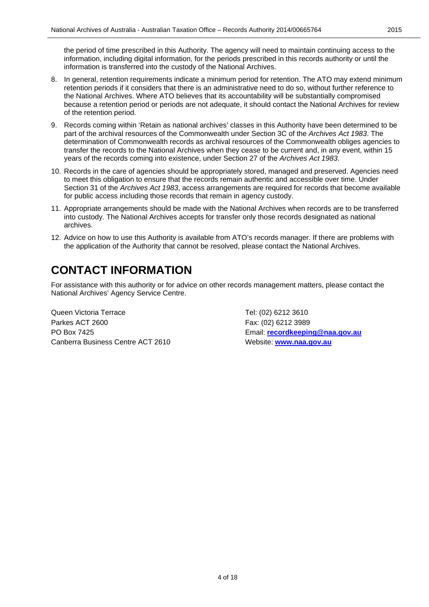the period of time prescribed in this Authority. The agency will need to maintain continuing access to the information, including digital information, for the periods prescribed in this records authority or until the information is transferred into the custody of the National Archives.

- 8. In general, retention requirements indicate a minimum period for retention. The ATO may extend minimum retention periods if it considers that there is an administrative need to do so, without further reference to the National Archives. Where ATO believes that its accountability will be substantially compromised because a retention period or periods are not adequate, it should contact the National Archives for review of the retention period.
- 9. Records coming within 'Retain as national archives' classes in this Authority have been determined to be part of the archival resources of the Commonwealth under Section 3C of the *Archives Act 1983*. The determination of Commonwealth records as archival resources of the Commonwealth obliges agencies to transfer the records to the National Archives when they cease to be current and, in any event, within 15 years of the records coming into existence, under Section 27 of the *Archives Act 1983*.
- 10. Records in the care of agencies should be appropriately stored, managed and preserved. Agencies need to meet this obligation to ensure that the records remain authentic and accessible over time. Under Section 31 of the *Archives Act 1983*, access arrangements are required for records that become available for public access including those records that remain in agency custody.
- 11. Appropriate arrangements should be made with the National Archives when records are to be transferred into custody. The National Archives accepts for transfer only those records designated as national archives.
- 12. Advice on how to use this Authority is available from ATO's records manager. If there are problems with the application of the Authority that cannot be resolved, please contact the National Archives.

### **CONTACT INFORMATION**

For assistance with this authority or for advice on other records management matters, please contact the National Archives' Agency Service Centre.

Queen Victoria Terrace Tel: (02) 6212 3610 Parkes ACT 2600 Fax: (02) 6212 3989 PO Box 7425 Email: **[recordkeeping@naa.gov.au](mailto:recordkeeping@naa.gov.au)** Canberra Business Centre ACT 2610 Website: **[www.naa.gov.au](http://www.naa.gov.au/)**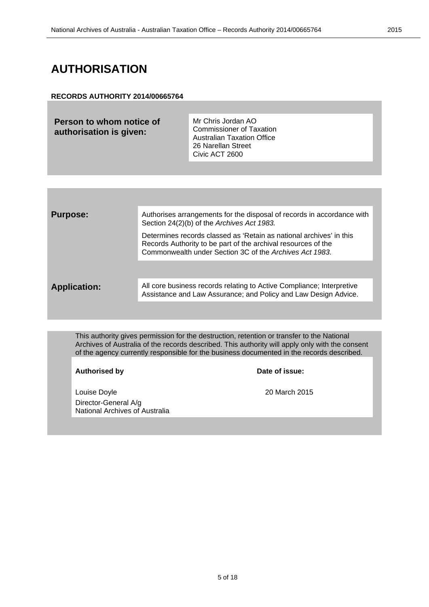#### **AUTHORISATION**

#### **RECORDS AUTHORITY 2014/00665764**

**Person to whom notice of authorisation is given:**

Mr Chris Jordan AO Commissioner of Taxation Australian Taxation Office 26 Narellan Street Civic ACT 2600

| <b>Purpose:</b>     | Authorises arrangements for the disposal of records in accordance with<br>Section 24(2)(b) of the Archives Act 1983.                                                                            |
|---------------------|-------------------------------------------------------------------------------------------------------------------------------------------------------------------------------------------------|
|                     | Determines records classed as 'Retain as national archives' in this<br>Records Authority to be part of the archival resources of the<br>Commonwealth under Section 3C of the Archives Act 1983. |
|                     |                                                                                                                                                                                                 |
| <b>Application:</b> | All core business records relating to Active Compliance; Interpretive<br>Assistance and Law Assurance; and Policy and Law Design Advice.                                                        |
|                     |                                                                                                                                                                                                 |

This authority gives permission for the destruction, retention or transfer to the National Archives of Australia of the records described. This authority will apply only with the consent of the agency currently responsible for the business documented in the records described.

#### Authorised by **Date of issue:**

Louise Doyle 20 March 2015 Director-General A/g National Archives of Australia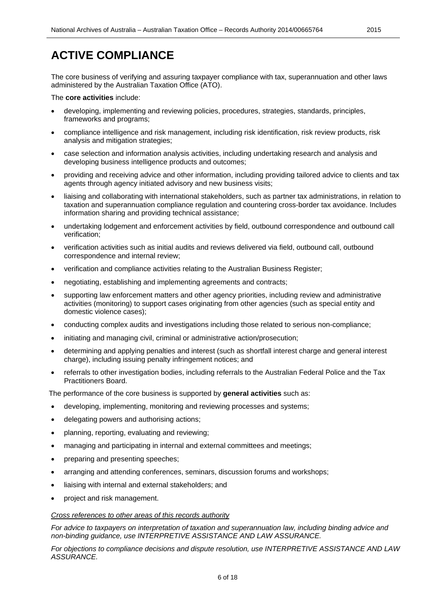The core business of verifying and assuring taxpayer compliance with tax, superannuation and other laws administered by the Australian Taxation Office (ATO).

The **core activities** include:

- developing, implementing and reviewing policies, procedures, strategies, standards, principles, frameworks and programs;
- compliance intelligence and risk management, including risk identification, risk review products, risk analysis and mitigation strategies;
- case selection and information analysis activities, including undertaking research and analysis and developing business intelligence products and outcomes;
- providing and receiving advice and other information, including providing tailored advice to clients and tax agents through agency initiated advisory and new business visits;
- liaising and collaborating with international stakeholders, such as partner tax administrations, in relation to taxation and superannuation compliance regulation and countering cross-border tax avoidance. Includes information sharing and providing technical assistance;
- undertaking lodgement and enforcement activities by field, outbound correspondence and outbound call verification;
- verification activities such as initial audits and reviews delivered via field, outbound call, outbound correspondence and internal review;
- verification and compliance activities relating to the Australian Business Register;
- negotiating, establishing and implementing agreements and contracts;
- supporting law enforcement matters and other agency priorities, including review and administrative activities (monitoring) to support cases originating from other agencies (such as special entity and domestic violence cases);
- conducting complex audits and investigations including those related to serious non-compliance;
- initiating and managing civil, criminal or administrative action/prosecution;
- determining and applying penalties and interest (such as shortfall interest charge and general interest charge), including issuing penalty infringement notices; and
- referrals to other investigation bodies, including referrals to the Australian Federal Police and the Tax Practitioners Board.

The performance of the core business is supported by **general activities** such as:

- developing, implementing, monitoring and reviewing processes and systems;
- delegating powers and authorising actions;
- planning, reporting, evaluating and reviewing;
- managing and participating in internal and external committees and meetings;
- preparing and presenting speeches;
- arranging and attending conferences, seminars, discussion forums and workshops;
- liaising with internal and external stakeholders; and
- project and risk management.

#### *Cross references to other areas of this records authority*

*For advice to taxpayers on interpretation of taxation and superannuation law, including binding advice and non-binding guidance, use INTERPRETIVE ASSISTANCE AND LAW ASSURANCE.*

*For objections to compliance decisions and dispute resolution, use INTERPRETIVE ASSISTANCE AND LAW ASSURANCE.*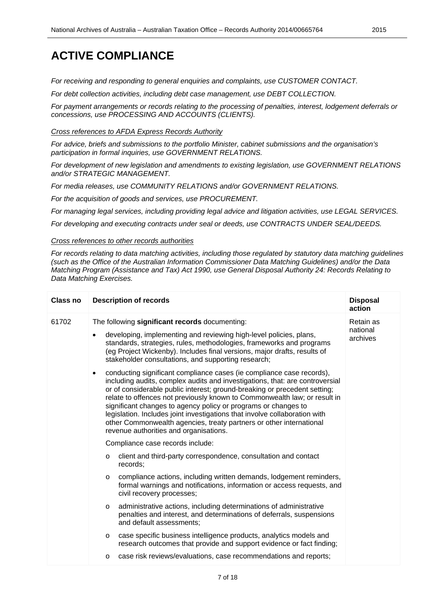*For receiving and responding to general enquiries and complaints, use CUSTOMER CONTACT.*

*For debt collection activities, including debt case management, use DEBT COLLECTION.*

*For payment arrangements or records relating to the processing of penalties, interest, lodgement deferrals or concessions, use PROCESSING AND ACCOUNTS (CLIENTS).*

*Cross references to AFDA Express Records Authority*

*For advice, briefs and submissions to the portfolio Minister, cabinet submissions and the organisation's participation in formal inquiries, use GOVERNMENT RELATIONS.*

*For development of new legislation and amendments to existing legislation, use GOVERNMENT RELATIONS and/or STRATEGIC MANAGEMENT.*

*For media releases, use COMMUNITY RELATIONS and/or GOVERNMENT RELATIONS.*

*For the acquisition of goods and services, use PROCUREMENT.*

*For managing legal services, including providing legal advice and litigation activities, use LEGAL SERVICES.*

*For developing and executing contracts under seal or deeds, use CONTRACTS UNDER SEAL/DEEDS.*

#### *Cross references to other records authorities*

*For records relating to data matching activities, including those regulated by statutory data matching guidelines (such as the Office of the Australian Information Commissioner Data Matching Guidelines) and/or the Data Matching Program (Assistance and Tax) Act 1990, use General Disposal Authority 24: Records Relating to Data Matching Exercises.*

| <b>Class no</b> | <b>Description of records</b>                                                                                                                                                                                                                                                                                                                                                                                                                                                                                                                                                                 | <b>Disposal</b><br>action         |
|-----------------|-----------------------------------------------------------------------------------------------------------------------------------------------------------------------------------------------------------------------------------------------------------------------------------------------------------------------------------------------------------------------------------------------------------------------------------------------------------------------------------------------------------------------------------------------------------------------------------------------|-----------------------------------|
| 61702           | The following significant records documenting:<br>developing, implementing and reviewing high-level policies, plans,<br>$\bullet$<br>standards, strategies, rules, methodologies, frameworks and programs<br>(eg Project Wickenby). Includes final versions, major drafts, results of<br>stakeholder consultations, and supporting research;                                                                                                                                                                                                                                                  | Retain as<br>national<br>archives |
|                 | conducting significant compliance cases (ie compliance case records),<br>$\bullet$<br>including audits, complex audits and investigations, that: are controversial<br>or of considerable public interest; ground-breaking or precedent setting;<br>relate to offences not previously known to Commonwealth law; or result in<br>significant changes to agency policy or programs or changes to<br>legislation. Includes joint investigations that involve collaboration with<br>other Commonwealth agencies, treaty partners or other international<br>revenue authorities and organisations. |                                   |
|                 | Compliance case records include:                                                                                                                                                                                                                                                                                                                                                                                                                                                                                                                                                              |                                   |
|                 | client and third-party correspondence, consultation and contact<br>$\circ$<br>records;                                                                                                                                                                                                                                                                                                                                                                                                                                                                                                        |                                   |
|                 | compliance actions, including written demands, lodgement reminders,<br>$\circ$<br>formal warnings and notifications, information or access requests, and<br>civil recovery processes;                                                                                                                                                                                                                                                                                                                                                                                                         |                                   |
|                 | administrative actions, including determinations of administrative<br>$\circ$<br>penalties and interest, and determinations of deferrals, suspensions<br>and default assessments;                                                                                                                                                                                                                                                                                                                                                                                                             |                                   |
|                 | case specific business intelligence products, analytics models and<br>$\circ$<br>research outcomes that provide and support evidence or fact finding;                                                                                                                                                                                                                                                                                                                                                                                                                                         |                                   |
|                 | case risk reviews/evaluations, case recommendations and reports;<br>O                                                                                                                                                                                                                                                                                                                                                                                                                                                                                                                         |                                   |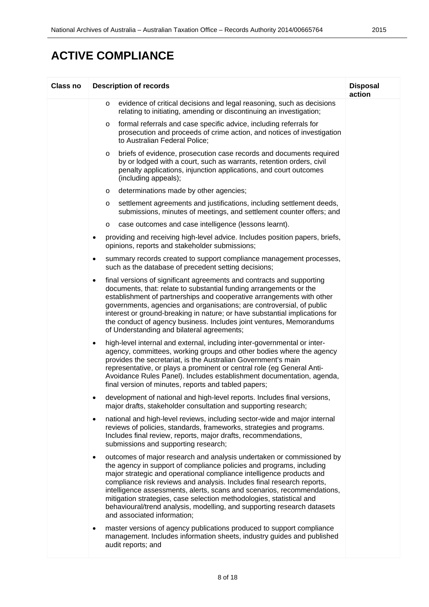| <b>Class no</b> | <b>Description of records</b>                                                                                                                                                                                                                                                                                                                                                                                                                                                                                                                                     | <b>Disposal</b><br>action |
|-----------------|-------------------------------------------------------------------------------------------------------------------------------------------------------------------------------------------------------------------------------------------------------------------------------------------------------------------------------------------------------------------------------------------------------------------------------------------------------------------------------------------------------------------------------------------------------------------|---------------------------|
|                 | evidence of critical decisions and legal reasoning, such as decisions<br>$\circ$<br>relating to initiating, amending or discontinuing an investigation;                                                                                                                                                                                                                                                                                                                                                                                                           |                           |
|                 | formal referrals and case specific advice, including referrals for<br>O<br>prosecution and proceeds of crime action, and notices of investigation<br>to Australian Federal Police;                                                                                                                                                                                                                                                                                                                                                                                |                           |
|                 | briefs of evidence, prosecution case records and documents required<br>O<br>by or lodged with a court, such as warrants, retention orders, civil<br>penalty applications, injunction applications, and court outcomes<br>(including appeals);                                                                                                                                                                                                                                                                                                                     |                           |
|                 | determinations made by other agencies;<br>O                                                                                                                                                                                                                                                                                                                                                                                                                                                                                                                       |                           |
|                 | settlement agreements and justifications, including settlement deeds,<br>O<br>submissions, minutes of meetings, and settlement counter offers; and                                                                                                                                                                                                                                                                                                                                                                                                                |                           |
|                 | case outcomes and case intelligence (lessons learnt).<br>O                                                                                                                                                                                                                                                                                                                                                                                                                                                                                                        |                           |
|                 | providing and receiving high-level advice. Includes position papers, briefs,<br>٠<br>opinions, reports and stakeholder submissions;                                                                                                                                                                                                                                                                                                                                                                                                                               |                           |
|                 | summary records created to support compliance management processes,<br>$\bullet$<br>such as the database of precedent setting decisions;                                                                                                                                                                                                                                                                                                                                                                                                                          |                           |
|                 | final versions of significant agreements and contracts and supporting<br>٠<br>documents, that: relate to substantial funding arrangements or the<br>establishment of partnerships and cooperative arrangements with other<br>governments, agencies and organisations; are controversial, of public<br>interest or ground-breaking in nature; or have substantial implications for<br>the conduct of agency business. Includes joint ventures, Memorandums<br>of Understanding and bilateral agreements;                                                           |                           |
|                 | high-level internal and external, including inter-governmental or inter-<br>٠<br>agency, committees, working groups and other bodies where the agency<br>provides the secretariat, is the Australian Government's main<br>representative, or plays a prominent or central role (eg General Anti-<br>Avoidance Rules Panel). Includes establishment documentation, agenda,<br>final version of minutes, reports and tabled papers;                                                                                                                                 |                           |
|                 | development of national and high-level reports. Includes final versions,<br>major drafts, stakeholder consultation and supporting research;                                                                                                                                                                                                                                                                                                                                                                                                                       |                           |
|                 | national and high-level reviews, including sector-wide and major internal<br>$\bullet$<br>reviews of policies, standards, frameworks, strategies and programs.<br>Includes final review, reports, major drafts, recommendations,<br>submissions and supporting research;                                                                                                                                                                                                                                                                                          |                           |
|                 | outcomes of major research and analysis undertaken or commissioned by<br>٠<br>the agency in support of compliance policies and programs, including<br>major strategic and operational compliance intelligence products and<br>compliance risk reviews and analysis. Includes final research reports,<br>intelligence assessments, alerts, scans and scenarios, recommendations,<br>mitigation strategies, case selection methodologies, statistical and<br>behavioural/trend analysis, modelling, and supporting research datasets<br>and associated information; |                           |
|                 | master versions of agency publications produced to support compliance<br>٠<br>management. Includes information sheets, industry guides and published<br>audit reports; and                                                                                                                                                                                                                                                                                                                                                                                        |                           |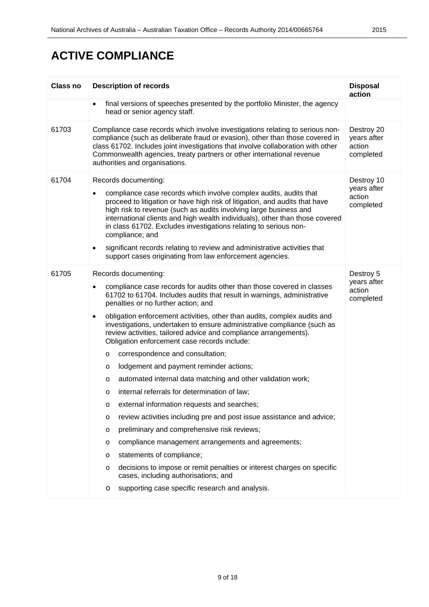| <b>Class no</b> | <b>Description of records</b>                                                                                                                                                                                                                                                                                                                                                                                                                                                                                                                                                                                                                                                                                                                                                                                                                                                                                                                                                                                                                                                                                                                                                                         | <b>Disposal</b><br>action                        |
|-----------------|-------------------------------------------------------------------------------------------------------------------------------------------------------------------------------------------------------------------------------------------------------------------------------------------------------------------------------------------------------------------------------------------------------------------------------------------------------------------------------------------------------------------------------------------------------------------------------------------------------------------------------------------------------------------------------------------------------------------------------------------------------------------------------------------------------------------------------------------------------------------------------------------------------------------------------------------------------------------------------------------------------------------------------------------------------------------------------------------------------------------------------------------------------------------------------------------------------|--------------------------------------------------|
|                 | final versions of speeches presented by the portfolio Minister, the agency<br>$\bullet$<br>head or senior agency staff.                                                                                                                                                                                                                                                                                                                                                                                                                                                                                                                                                                                                                                                                                                                                                                                                                                                                                                                                                                                                                                                                               |                                                  |
| 61703           | Compliance case records which involve investigations relating to serious non-<br>compliance (such as deliberate fraud or evasion), other than those covered in<br>class 61702. Includes joint investigations that involve collaboration with other<br>Commonwealth agencies, treaty partners or other international revenue<br>authorities and organisations.                                                                                                                                                                                                                                                                                                                                                                                                                                                                                                                                                                                                                                                                                                                                                                                                                                         | Destroy 20<br>years after<br>action<br>completed |
| 61704           | Records documenting:<br>compliance case records which involve complex audits, audits that<br>٠<br>proceed to litigation or have high risk of litigation, and audits that have<br>high risk to revenue (such as audits involving large business and<br>international clients and high wealth individuals), other than those covered<br>in class 61702. Excludes investigations relating to serious non-<br>compliance; and<br>significant records relating to review and administrative activities that<br>$\bullet$<br>support cases originating from law enforcement agencies.                                                                                                                                                                                                                                                                                                                                                                                                                                                                                                                                                                                                                       | Destroy 10<br>years after<br>action<br>completed |
| 61705           | Records documenting:<br>compliance case records for audits other than those covered in classes<br>٠<br>61702 to 61704. Includes audits that result in warnings, administrative<br>penalties or no further action; and<br>obligation enforcement activities, other than audits, complex audits and<br>٠<br>investigations, undertaken to ensure administrative compliance (such as<br>review activities, tailored advice and compliance arrangements).<br>Obligation enforcement case records include:<br>correspondence and consultation;<br>$\circ$<br>lodgement and payment reminder actions;<br>O<br>automated internal data matching and other validation work;<br>O<br>internal referrals for determination of law;<br>O<br>external information requests and searches;<br>O<br>review activities including pre and post issue assistance and advice;<br>O<br>preliminary and comprehensive risk reviews;<br>O<br>compliance management arrangements and agreements;<br>$\circ$<br>statements of compliance;<br>O<br>decisions to impose or remit penalties or interest charges on specific<br>O<br>cases, including authorisations; and<br>supporting case specific research and analysis.<br>O | Destroy 5<br>years after<br>action<br>completed  |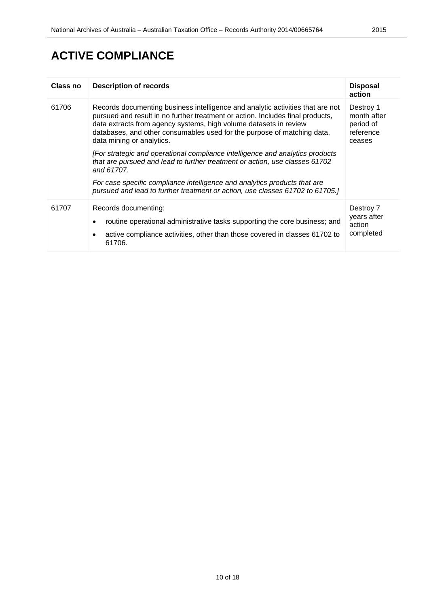| Class no | <b>Description of records</b>                                                                                                                                                                                                                                                                                                                 | <b>Disposal</b><br>action                                    |
|----------|-----------------------------------------------------------------------------------------------------------------------------------------------------------------------------------------------------------------------------------------------------------------------------------------------------------------------------------------------|--------------------------------------------------------------|
| 61706    | Records documenting business intelligence and analytic activities that are not<br>pursued and result in no further treatment or action. Includes final products,<br>data extracts from agency systems, high volume datasets in review<br>databases, and other consumables used for the purpose of matching data,<br>data mining or analytics. | Destroy 1<br>month after<br>period of<br>reference<br>ceases |
|          | [For strategic and operational compliance intelligence and analytics products<br>that are pursued and lead to further treatment or action, use classes 61702<br>and 61707.                                                                                                                                                                    |                                                              |
|          | For case specific compliance intelligence and analytics products that are<br>pursued and lead to further treatment or action, use classes 61702 to 61705.]                                                                                                                                                                                    |                                                              |
| 61707    | Records documenting:<br>routine operational administrative tasks supporting the core business; and<br>active compliance activities, other than those covered in classes 61702 to<br>61706.                                                                                                                                                    | Destroy 7<br>years after<br>action<br>completed              |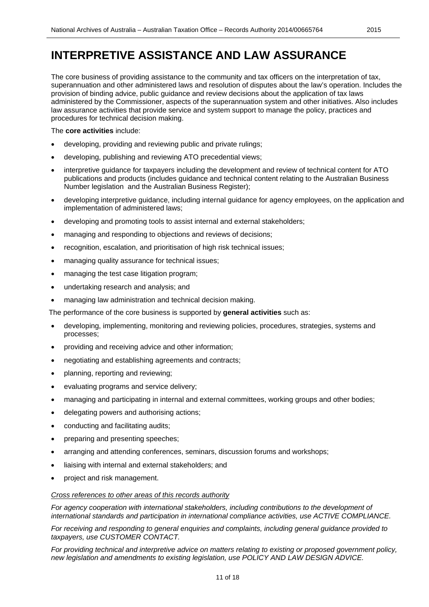The core business of providing assistance to the community and tax officers on the interpretation of tax, superannuation and other administered laws and resolution of disputes about the law's operation. Includes the provision of binding advice, public guidance and review decisions about the application of tax laws administered by the Commissioner, aspects of the superannuation system and other initiatives. Also includes law assurance activities that provide service and system support to manage the policy, practices and procedures for technical decision making.

#### The **core activities** include:

- developing, providing and reviewing public and private rulings;
- developing, publishing and reviewing ATO precedential views;
- interpretive guidance for taxpayers including the development and review of technical content for ATO publications and products (includes guidance and technical content relating to the Australian Business Number legislation and the Australian Business Register);
- developing interpretive guidance, including internal guidance for agency employees, on the application and implementation of administered laws;
- developing and promoting tools to assist internal and external stakeholders;
- managing and responding to objections and reviews of decisions;
- recognition, escalation, and prioritisation of high risk technical issues;
- managing quality assurance for technical issues;
- managing the test case litigation program;
- undertaking research and analysis; and
- managing law administration and technical decision making.

The performance of the core business is supported by **general activities** such as:

- developing, implementing, monitoring and reviewing policies, procedures, strategies, systems and processes;
- providing and receiving advice and other information;
- negotiating and establishing agreements and contracts;
- planning, reporting and reviewing;
- evaluating programs and service delivery;
- managing and participating in internal and external committees, working groups and other bodies;
- delegating powers and authorising actions;
- conducting and facilitating audits;
- preparing and presenting speeches;
- arranging and attending conferences, seminars, discussion forums and workshops;
- liaising with internal and external stakeholders; and
- project and risk management.

#### *Cross references to other areas of this records authority*

For agency cooperation with international stakeholders, including contributions to the development of *international standards and participation in international compliance activities, use ACTIVE COMPLIANCE.*

*For receiving and responding to general enquiries and complaints, including general guidance provided to taxpayers, use CUSTOMER CONTACT.*

*For providing technical and interpretive advice on matters relating to existing or proposed government policy, new legislation and amendments to existing legislation, use POLICY AND LAW DESIGN ADVICE.*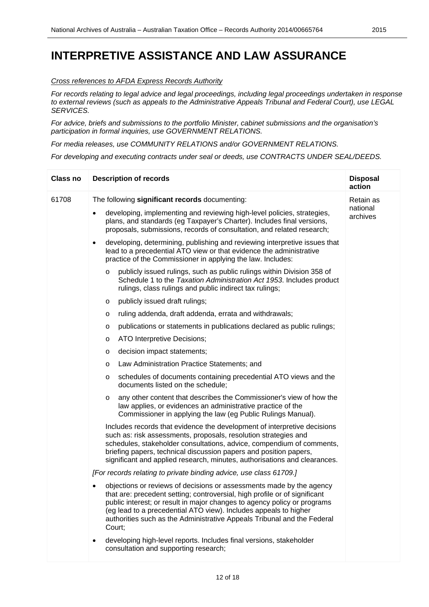#### *Cross references to AFDA Express Records Authority*

*For records relating to legal advice and legal proceedings, including legal proceedings undertaken in response to external reviews (such as appeals to the Administrative Appeals Tribunal and Federal Court), use LEGAL SERVICES.*

*For advice, briefs and submissions to the portfolio Minister, cabinet submissions and the organisation's participation in formal inquiries, use GOVERNMENT RELATIONS.*

*For media releases, use COMMUNITY RELATIONS and/or GOVERNMENT RELATIONS.*

*For developing and executing contracts under seal or deeds, use CONTRACTS UNDER SEAL/DEEDS.*

| Class no | <b>Description of records</b>                                                                                                                                                                                                                                                                                                                                                           | <b>Disposal</b><br>action |
|----------|-----------------------------------------------------------------------------------------------------------------------------------------------------------------------------------------------------------------------------------------------------------------------------------------------------------------------------------------------------------------------------------------|---------------------------|
| 61708    | The following significant records documenting:                                                                                                                                                                                                                                                                                                                                          | Retain as                 |
|          | developing, implementing and reviewing high-level policies, strategies,<br>plans, and standards (eg Taxpayer's Charter). Includes final versions,<br>proposals, submissions, records of consultation, and related research;                                                                                                                                                             | national<br>archives      |
|          | developing, determining, publishing and reviewing interpretive issues that<br>$\bullet$<br>lead to a precedential ATO view or that evidence the administrative<br>practice of the Commissioner in applying the law. Includes:                                                                                                                                                           |                           |
|          | publicly issued rulings, such as public rulings within Division 358 of<br>$\circ$<br>Schedule 1 to the Taxation Administration Act 1953. Includes product<br>rulings, class rulings and public indirect tax rulings;                                                                                                                                                                    |                           |
|          | publicly issued draft rulings;<br>O                                                                                                                                                                                                                                                                                                                                                     |                           |
|          | ruling addenda, draft addenda, errata and withdrawals;<br>O                                                                                                                                                                                                                                                                                                                             |                           |
|          | publications or statements in publications declared as public rulings;<br>O                                                                                                                                                                                                                                                                                                             |                           |
|          | ATO Interpretive Decisions;<br>O                                                                                                                                                                                                                                                                                                                                                        |                           |
|          | decision impact statements;<br>O                                                                                                                                                                                                                                                                                                                                                        |                           |
|          | Law Administration Practice Statements; and<br>O                                                                                                                                                                                                                                                                                                                                        |                           |
|          | schedules of documents containing precedential ATO views and the<br>O<br>documents listed on the schedule;                                                                                                                                                                                                                                                                              |                           |
|          | any other content that describes the Commissioner's view of how the<br>O<br>law applies, or evidences an administrative practice of the<br>Commissioner in applying the law (eg Public Rulings Manual).                                                                                                                                                                                 |                           |
|          | Includes records that evidence the development of interpretive decisions<br>such as: risk assessments, proposals, resolution strategies and<br>schedules, stakeholder consultations, advice, compendium of comments,<br>briefing papers, technical discussion papers and position papers,<br>significant and applied research, minutes, authorisations and clearances.                  |                           |
|          | [For records relating to private binding advice, use class 61709.]                                                                                                                                                                                                                                                                                                                      |                           |
|          | objections or reviews of decisions or assessments made by the agency<br>that are: precedent setting; controversial, high profile or of significant<br>public interest; or result in major changes to agency policy or programs<br>(eg lead to a precedential ATO view). Includes appeals to higher<br>authorities such as the Administrative Appeals Tribunal and the Federal<br>Court; |                           |
|          | developing high-level reports. Includes final versions, stakeholder<br>٠<br>consultation and supporting research;                                                                                                                                                                                                                                                                       |                           |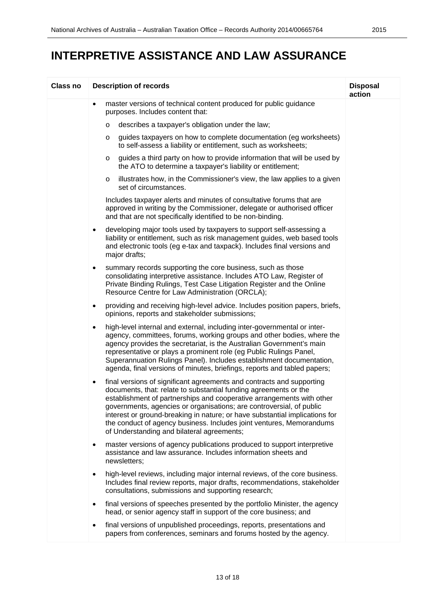| Class no | <b>Description of records</b>                                                                                                                                                                                                                                                                                                                                                                                                                                                                        | <b>Disposal</b><br>action |
|----------|------------------------------------------------------------------------------------------------------------------------------------------------------------------------------------------------------------------------------------------------------------------------------------------------------------------------------------------------------------------------------------------------------------------------------------------------------------------------------------------------------|---------------------------|
|          | master versions of technical content produced for public guidance<br>purposes. Includes content that:                                                                                                                                                                                                                                                                                                                                                                                                |                           |
|          | describes a taxpayer's obligation under the law;<br>$\circ$                                                                                                                                                                                                                                                                                                                                                                                                                                          |                           |
|          | guides taxpayers on how to complete documentation (eg worksheets)<br>$\circ$<br>to self-assess a liability or entitlement, such as worksheets;                                                                                                                                                                                                                                                                                                                                                       |                           |
|          | guides a third party on how to provide information that will be used by<br>$\circ$<br>the ATO to determine a taxpayer's liability or entitlement;                                                                                                                                                                                                                                                                                                                                                    |                           |
|          | illustrates how, in the Commissioner's view, the law applies to a given<br>$\circ$<br>set of circumstances.                                                                                                                                                                                                                                                                                                                                                                                          |                           |
|          | Includes taxpayer alerts and minutes of consultative forums that are<br>approved in writing by the Commissioner, delegate or authorised officer<br>and that are not specifically identified to be non-binding.                                                                                                                                                                                                                                                                                       |                           |
|          | developing major tools used by taxpayers to support self-assessing a<br>$\bullet$<br>liability or entitlement, such as risk management guides, web based tools<br>and electronic tools (eg e-tax and taxpack). Includes final versions and<br>major drafts;                                                                                                                                                                                                                                          |                           |
|          | summary records supporting the core business, such as those<br>$\bullet$<br>consolidating interpretive assistance. Includes ATO Law, Register of<br>Private Binding Rulings, Test Case Litigation Register and the Online<br>Resource Centre for Law Administration (ORCLA);                                                                                                                                                                                                                         |                           |
|          | providing and receiving high-level advice. Includes position papers, briefs,<br>$\bullet$<br>opinions, reports and stakeholder submissions;                                                                                                                                                                                                                                                                                                                                                          |                           |
|          | high-level internal and external, including inter-governmental or inter-<br>$\bullet$<br>agency, committees, forums, working groups and other bodies, where the<br>agency provides the secretariat, is the Australian Government's main<br>representative or plays a prominent role (eg Public Rulings Panel,<br>Superannuation Rulings Panel). Includes establishment documentation,<br>agenda, final versions of minutes, briefings, reports and tabled papers;                                    |                           |
|          | final versions of significant agreements and contracts and supporting<br>٠<br>documents, that: relate to substantial funding agreements or the<br>establishment of partnerships and cooperative arrangements with other<br>governments, agencies or organisations; are controversial, of public<br>interest or ground-breaking in nature; or have substantial implications for<br>the conduct of agency business. Includes joint ventures, Memorandums<br>of Understanding and bilateral agreements; |                           |
|          | master versions of agency publications produced to support interpretive<br>$\bullet$<br>assistance and law assurance. Includes information sheets and<br>newsletters;                                                                                                                                                                                                                                                                                                                                |                           |
|          | high-level reviews, including major internal reviews, of the core business.<br>$\bullet$<br>Includes final review reports, major drafts, recommendations, stakeholder<br>consultations, submissions and supporting research;                                                                                                                                                                                                                                                                         |                           |
|          | final versions of speeches presented by the portfolio Minister, the agency<br>$\bullet$<br>head, or senior agency staff in support of the core business; and                                                                                                                                                                                                                                                                                                                                         |                           |
|          | final versions of unpublished proceedings, reports, presentations and<br>$\bullet$<br>papers from conferences, seminars and forums hosted by the agency.                                                                                                                                                                                                                                                                                                                                             |                           |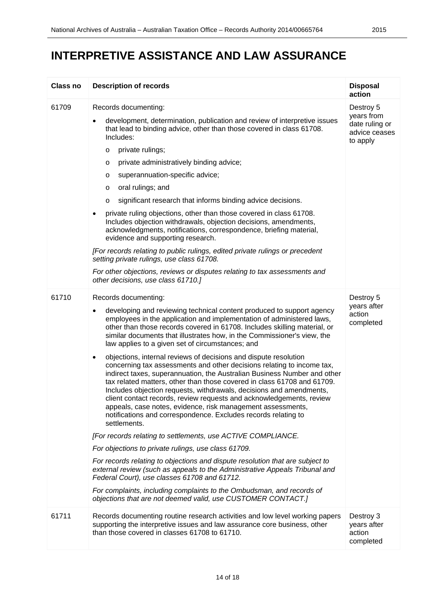| Class no | <b>Description of records</b>                                                                                                                                                                                                                                                                                                                                                                                                                                                                                                                                                                                                                                                                                                                                                                                                                                                                                                                                                                                                                                                                                                                                                                                                                                                                                                                                                                                                                                                                     | <b>Disposal</b><br>action                                              |
|----------|---------------------------------------------------------------------------------------------------------------------------------------------------------------------------------------------------------------------------------------------------------------------------------------------------------------------------------------------------------------------------------------------------------------------------------------------------------------------------------------------------------------------------------------------------------------------------------------------------------------------------------------------------------------------------------------------------------------------------------------------------------------------------------------------------------------------------------------------------------------------------------------------------------------------------------------------------------------------------------------------------------------------------------------------------------------------------------------------------------------------------------------------------------------------------------------------------------------------------------------------------------------------------------------------------------------------------------------------------------------------------------------------------------------------------------------------------------------------------------------------------|------------------------------------------------------------------------|
| 61709    | Records documenting:<br>development, determination, publication and review of interpretive issues<br>that lead to binding advice, other than those covered in class 61708.<br>Includes:<br>private rulings;<br>O<br>private administratively binding advice;<br>O<br>superannuation-specific advice;<br>O<br>oral rulings; and<br>O<br>significant research that informs binding advice decisions.<br>O<br>private ruling objections, other than those covered in class 61708.<br>٠<br>Includes objection withdrawals, objection decisions, amendments,<br>acknowledgments, notifications, correspondence, briefing material,<br>evidence and supporting research.<br>[For records relating to public rulings, edited private rulings or precedent<br>setting private rulings, use class 61708.<br>For other objections, reviews or disputes relating to tax assessments and<br>other decisions, use class 61710.]                                                                                                                                                                                                                                                                                                                                                                                                                                                                                                                                                                                | Destroy 5<br>years from<br>date ruling or<br>advice ceases<br>to apply |
| 61710    | Records documenting:<br>developing and reviewing technical content produced to support agency<br>$\bullet$<br>employees in the application and implementation of administered laws,<br>other than those records covered in 61708. Includes skilling material, or<br>similar documents that illustrates how, in the Commissioner's view, the<br>law applies to a given set of circumstances; and<br>objections, internal reviews of decisions and dispute resolution<br>$\bullet$<br>concerning tax assessments and other decisions relating to income tax,<br>indirect taxes, superannuation, the Australian Business Number and other<br>tax related matters, other than those covered in class 61708 and 61709.<br>Includes objection requests, withdrawals, decisions and amendments,<br>client contact records, review requests and acknowledgements, review<br>appeals, case notes, evidence, risk management assessments,<br>notifications and correspondence. Excludes records relating to<br>settlements.<br>[For records relating to settlements, use ACTIVE COMPLIANCE.<br>For objections to private rulings, use class 61709.<br>For records relating to objections and dispute resolution that are subject to<br>external review (such as appeals to the Administrative Appeals Tribunal and<br>Federal Court), use classes 61708 and 61712.<br>For complaints, including complaints to the Ombudsman, and records of<br>objections that are not deemed valid, use CUSTOMER CONTACT.] | Destroy 5<br>years after<br>action<br>completed                        |
| 61711    | Records documenting routine research activities and low level working papers<br>supporting the interpretive issues and law assurance core business, other<br>than those covered in classes 61708 to 61710.                                                                                                                                                                                                                                                                                                                                                                                                                                                                                                                                                                                                                                                                                                                                                                                                                                                                                                                                                                                                                                                                                                                                                                                                                                                                                        | Destroy 3<br>years after<br>action<br>completed                        |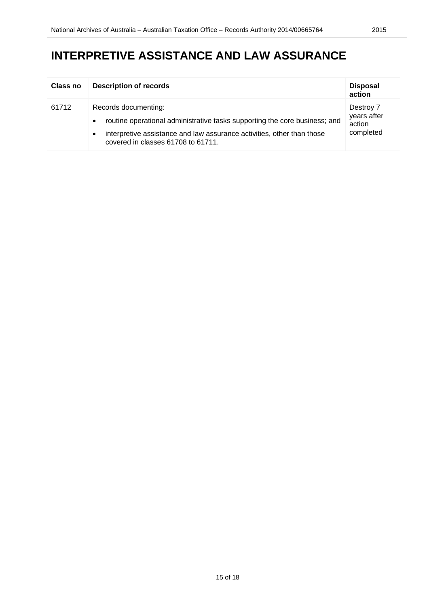| <b>Class no</b> | <b>Description of records</b>                                                                                                                                                                                      | <b>Disposal</b><br>action                       |
|-----------------|--------------------------------------------------------------------------------------------------------------------------------------------------------------------------------------------------------------------|-------------------------------------------------|
| 61712           | Records documenting:<br>routine operational administrative tasks supporting the core business; and<br>interpretive assistance and law assurance activities, other than those<br>covered in classes 61708 to 61711. | Destroy 7<br>years after<br>action<br>completed |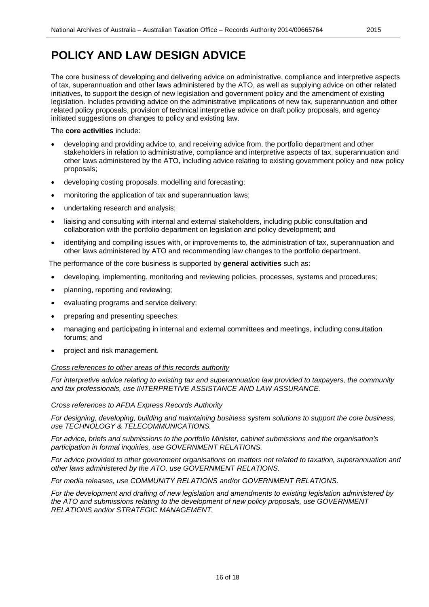### **POLICY AND LAW DESIGN ADVICE**

The core business of developing and delivering advice on administrative, compliance and interpretive aspects of tax, superannuation and other laws administered by the ATO, as well as supplying advice on other related initiatives, to support the design of new legislation and government policy and the amendment of existing legislation. Includes providing advice on the administrative implications of new tax, superannuation and other related policy proposals, provision of technical interpretive advice on draft policy proposals, and agency initiated suggestions on changes to policy and existing law.

#### The **core activities** include:

- developing and providing advice to, and receiving advice from, the portfolio department and other stakeholders in relation to administrative, compliance and interpretive aspects of tax, superannuation and other laws administered by the ATO, including advice relating to existing government policy and new policy proposals;
- developing costing proposals, modelling and forecasting;
- monitoring the application of tax and superannuation laws;
- undertaking research and analysis;
- liaising and consulting with internal and external stakeholders, including public consultation and collaboration with the portfolio department on legislation and policy development; and
- identifying and compiling issues with, or improvements to, the administration of tax, superannuation and other laws administered by ATO and recommending law changes to the portfolio department.

The performance of the core business is supported by **general activities** such as:

- developing, implementing, monitoring and reviewing policies, processes, systems and procedures;
- planning, reporting and reviewing;
- evaluating programs and service delivery;
- preparing and presenting speeches;
- managing and participating in internal and external committees and meetings, including consultation forums; and
- project and risk management.

#### *Cross references to other areas of this records authority*

*For interpretive advice relating to existing tax and superannuation law provided to taxpayers, the community and tax professionals, use INTERPRETIVE ASSISTANCE AND LAW ASSURANCE.*

#### *Cross references to AFDA Express Records Authority*

*For designing, developing, building and maintaining business system solutions to support the core business, use TECHNOLOGY & TELECOMMUNICATIONS.* 

*For advice, briefs and submissions to the portfolio Minister, cabinet submissions and the organisation's participation in formal inquiries, use GOVERNMENT RELATIONS.*

*For advice provided to other government organisations on matters not related to taxation, superannuation and other laws administered by the ATO, use GOVERNMENT RELATIONS.*

*For media releases, use COMMUNITY RELATIONS and/or GOVERNMENT RELATIONS.*

*For the development and drafting of new legislation and amendments to existing legislation administered by the ATO and submissions relating to the development of new policy proposals, use GOVERNMENT RELATIONS and/or STRATEGIC MANAGEMENT.*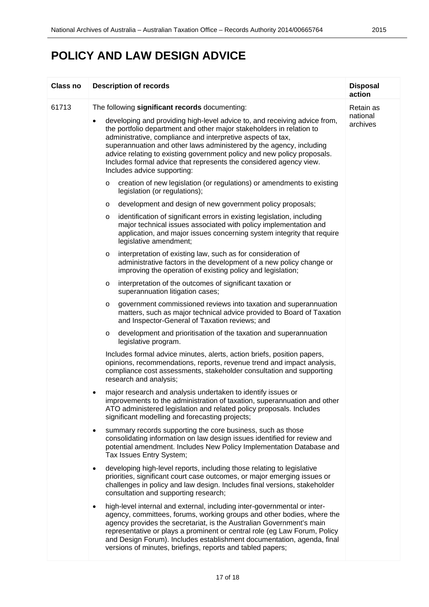### **POLICY AND LAW DESIGN ADVICE**

| <b>Class no</b> | <b>Description of records</b>                                                                                                                                                                                                                                                                                                                                                                                                                                                | <b>Disposal</b><br>action |
|-----------------|------------------------------------------------------------------------------------------------------------------------------------------------------------------------------------------------------------------------------------------------------------------------------------------------------------------------------------------------------------------------------------------------------------------------------------------------------------------------------|---------------------------|
| 61713           | The following significant records documenting:                                                                                                                                                                                                                                                                                                                                                                                                                               | Retain as                 |
|                 | developing and providing high-level advice to, and receiving advice from,<br>٠<br>the portfolio department and other major stakeholders in relation to<br>administrative, compliance and interpretive aspects of tax,<br>superannuation and other laws administered by the agency, including<br>advice relating to existing government policy and new policy proposals.<br>Includes formal advice that represents the considered agency view.<br>Includes advice supporting: | national<br>archives      |
|                 | creation of new legislation (or regulations) or amendments to existing<br>O<br>legislation (or regulations);                                                                                                                                                                                                                                                                                                                                                                 |                           |
|                 | development and design of new government policy proposals;<br>O                                                                                                                                                                                                                                                                                                                                                                                                              |                           |
|                 | identification of significant errors in existing legislation, including<br>O<br>major technical issues associated with policy implementation and<br>application, and major issues concerning system integrity that require<br>legislative amendment;                                                                                                                                                                                                                         |                           |
|                 | interpretation of existing law, such as for consideration of<br>$\circ$<br>administrative factors in the development of a new policy change or<br>improving the operation of existing policy and legislation;                                                                                                                                                                                                                                                                |                           |
|                 | interpretation of the outcomes of significant taxation or<br>O<br>superannuation litigation cases;                                                                                                                                                                                                                                                                                                                                                                           |                           |
|                 | government commissioned reviews into taxation and superannuation<br>O<br>matters, such as major technical advice provided to Board of Taxation<br>and Inspector-General of Taxation reviews; and                                                                                                                                                                                                                                                                             |                           |
|                 | development and prioritisation of the taxation and superannuation<br>O<br>legislative program.                                                                                                                                                                                                                                                                                                                                                                               |                           |
|                 | Includes formal advice minutes, alerts, action briefs, position papers,<br>opinions, recommendations, reports, revenue trend and impact analysis,<br>compliance cost assessments, stakeholder consultation and supporting<br>research and analysis;                                                                                                                                                                                                                          |                           |
|                 | major research and analysis undertaken to identify issues or<br>improvements to the administration of taxation, superannuation and other<br>ATO administered legislation and related policy proposals. Includes<br>significant modelling and forecasting projects;                                                                                                                                                                                                           |                           |
|                 | summary records supporting the core business, such as those<br>٠<br>consolidating information on law design issues identified for review and<br>potential amendment. Includes New Policy Implementation Database and<br>Tax Issues Entry System;                                                                                                                                                                                                                             |                           |
|                 | developing high-level reports, including those relating to legislative<br>$\bullet$<br>priorities, significant court case outcomes, or major emerging issues or<br>challenges in policy and law design. Includes final versions, stakeholder<br>consultation and supporting research;                                                                                                                                                                                        |                           |
|                 | high-level internal and external, including inter-governmental or inter-<br>٠<br>agency, committees, forums, working groups and other bodies, where the<br>agency provides the secretariat, is the Australian Government's main<br>representative or plays a prominent or central role (eg Law Forum, Policy<br>and Design Forum). Includes establishment documentation, agenda, final<br>versions of minutes, briefings, reports and tabled papers;                         |                           |